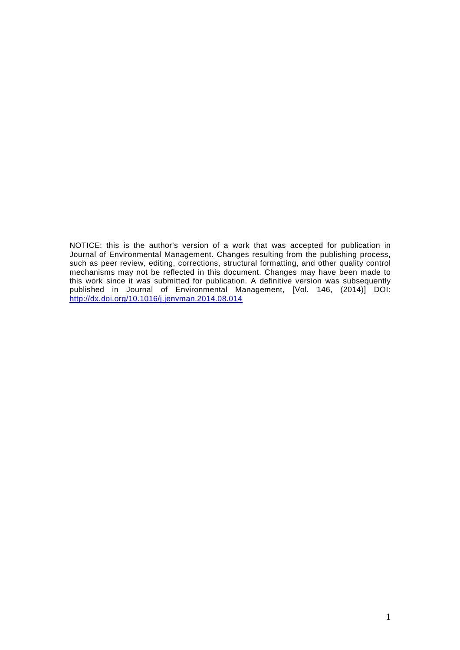NOTICE: this is the author's version of a work that was accepted for publication in Journal of Environmental Management. Changes resulting from the publishing process, such as peer review, editing, corrections, structural formatting, and other quality control mechanisms may not be reflected in this document. Changes may have been made to this work since it was submitted for publication. A definitive version was subsequently published in Journal of Environmental Management, [Vol. 146, (2014)] DOI: http://dx.doi.org/10.1016/j.jenvman.2014.08.014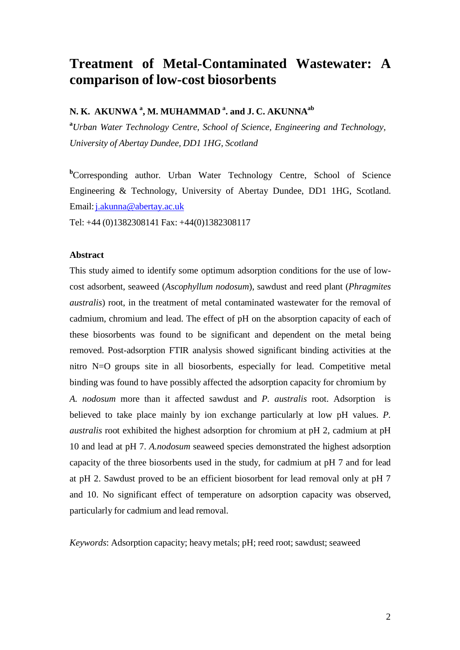# **Treatment of Metal-Contaminated Wastewater: A comparison of low-cost biosorbents**

## **N. K. AKUNWA <sup>a</sup> , M. MUHAMMAD <sup>a</sup> . and J. C. AKUNNAab**

**<sup>a</sup>***Urban Water Technology Centre, School of Science, Engineering and Technology, University of Abertay Dundee, DD1 1HG, Scotland*

**b**Corresponding author. Urban Water Technology Centre, School of Science Engineering & Technology, University of Abertay Dundee, DD1 1HG, Scotland. Email: j.akunna@abertay.ac.uk

Tel: +44 (0)1382308141 Fax: +44(0)1382308117

#### **Abstract**

This study aimed to identify some optimum adsorption conditions for the use of lowcost adsorbent, seaweed (*Ascophyllum nodosum*), sawdust and reed plant (*Phragmites australis*) root, in the treatment of metal contaminated wastewater for the removal of cadmium, chromium and lead. The effect of pH on the absorption capacity of each of these biosorbents was found to be significant and dependent on the metal being removed. Post-adsorption FTIR analysis showed significant binding activities at the nitro N=O groups site in all biosorbents, especially for lead. Competitive metal binding was found to have possibly affected the adsorption capacity for chromium by *A. nodosum* more than it affected sawdust and *P. australis* root. Adsorption is believed to take place mainly by ion exchange particularly at low pH values. *P. australis* root exhibited the highest adsorption for chromium at pH 2, cadmium at pH 10 and lead at pH 7. *A.nodosum* seaweed species demonstrated the highest adsorption capacity of the three biosorbents used in the study, for cadmium at pH 7 and for lead at pH 2. Sawdust proved to be an efficient biosorbent for lead removal only at pH 7 and 10. No significant effect of temperature on adsorption capacity was observed, particularly for cadmium and lead removal.

*Keywords*: Adsorption capacity; heavy metals; pH; reed root; sawdust; seaweed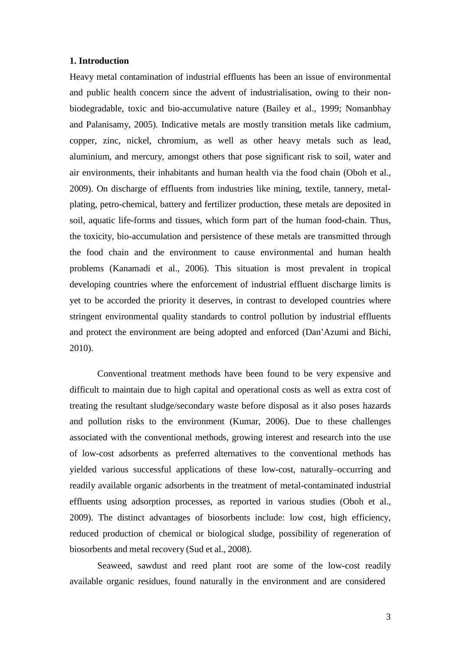#### **1. Introduction**

Heavy metal contamination of industrial effluents has been an issue of environmental and public health concern since the advent of industrialisation, owing to their nonbiodegradable, toxic and bio-accumulative nature (Bailey et al., 1999; Nomanbhay and Palanisamy, 2005). Indicative metals are mostly transition metals like cadmium, copper, zinc, nickel, chromium, as well as other heavy metals such as lead, aluminium, and mercury, amongst others that pose significant risk to soil, water and air environments, their inhabitants and human health via the food chain (Oboh et al., 2009). On discharge of effluents from industries like mining, textile, tannery, metalplating, petro-chemical, battery and fertilizer production, these metals are deposited in soil, aquatic life-forms and tissues, which form part of the human food-chain. Thus, the toxicity, bio-accumulation and persistence of these metals are transmitted through the food chain and the environment to cause environmental and human health problems (Kanamadi et al., 2006). This situation is most prevalent in tropical developing countries where the enforcement of industrial effluent discharge limits is yet to be accorded the priority it deserves, in contrast to developed countries where stringent environmental quality standards to control pollution by industrial effluents and protect the environment are being adopted and enforced (Dan'Azumi and Bichi, 2010).

Conventional treatment methods have been found to be very expensive and difficult to maintain due to high capital and operational costs as well as extra cost of treating the resultant sludge/secondary waste before disposal as it also poses hazards and pollution risks to the environment (Kumar, 2006). Due to these challenges associated with the conventional methods, growing interest and research into the use of low-cost adsorbents as preferred alternatives to the conventional methods has yielded various successful applications of these low-cost, naturally–occurring and readily available organic adsorbents in the treatment of metal-contaminated industrial effluents using adsorption processes, as reported in various studies (Oboh et al., 2009). The distinct advantages of biosorbents include: low cost, high efficiency, reduced production of chemical or biological sludge, possibility of regeneration of biosorbents and metal recovery (Sud et al., 2008).

Seaweed, sawdust and reed plant root are some of the low-cost readily available organic residues, found naturally in the environment and are considered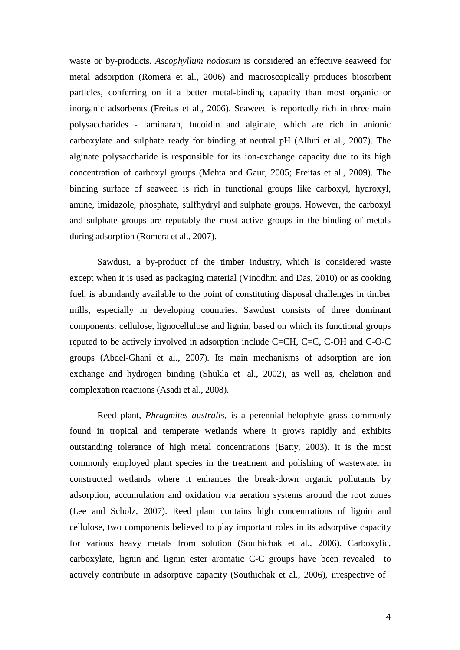waste or by-products. *Ascophyllum nodosum* is considered an effective seaweed for metal adsorption (Romera et al., 2006) and macroscopically produces biosorbent particles, conferring on it a better metal-binding capacity than most organic or inorganic adsorbents (Freitas et al., 2006). Seaweed is reportedly rich in three main polysaccharides - laminaran, fucoidin and alginate, which are rich in anionic carboxylate and sulphate ready for binding at neutral pH (Alluri et al., 2007). The alginate polysaccharide is responsible for its ion-exchange capacity due to its high concentration of carboxyl groups (Mehta and Gaur, 2005; Freitas et al., 2009). The binding surface of seaweed is rich in functional groups like carboxyl, hydroxyl, amine, imidazole, phosphate, sulfhydryl and sulphate groups. However, the carboxyl and sulphate groups are reputably the most active groups in the binding of metals during adsorption (Romera et al., 2007).

Sawdust, a by-product of the timber industry, which is considered waste except when it is used as packaging material (Vinodhni and Das, 2010) or as cooking fuel, is abundantly available to the point of constituting disposal challenges in timber mills, especially in developing countries. Sawdust consists of three dominant components: cellulose, lignocellulose and lignin, based on which its functional groups reputed to be actively involved in adsorption include C=CH, C=C, C-OH and C-O-C groups (Abdel-Ghani et al., 2007). Its main mechanisms of adsorption are ion exchange and hydrogen binding (Shukla et al., 2002), as well as, chelation and complexation reactions (Asadi et al., 2008).

Reed plant, *Phragmites australis*, is a perennial helophyte grass commonly found in tropical and temperate wetlands where it grows rapidly and exhibits outstanding tolerance of high metal concentrations (Batty, 2003). It is the most commonly employed plant species in the treatment and polishing of wastewater in constructed wetlands where it enhances the break-down organic pollutants by adsorption, accumulation and oxidation via aeration systems around the root zones (Lee and Scholz, 2007). Reed plant contains high concentrations of lignin and cellulose, two components believed to play important roles in its adsorptive capacity for various heavy metals from solution (Southichak et al., 2006). Carboxylic, carboxylate, lignin and lignin ester aromatic C-C groups have been revealed to actively contribute in adsorptive capacity (Southichak et al., 2006), irrespective of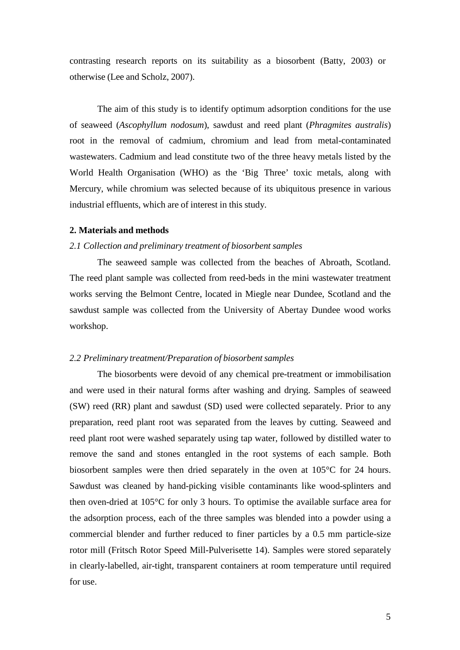contrasting research reports on its suitability as a biosorbent (Batty, 2003) or otherwise (Lee and Scholz, 2007).

The aim of this study is to identify optimum adsorption conditions for the use of seaweed (*Ascophyllum nodosum*), sawdust and reed plant (*Phragmites australis*) root in the removal of cadmium, chromium and lead from metal-contaminated wastewaters. Cadmium and lead constitute two of the three heavy metals listed by the World Health Organisation (WHO) as the 'Big Three' toxic metals, along with Mercury, while chromium was selected because of its ubiquitous presence in various industrial effluents, which are of interest in this study.

#### **2. Materials and methods**

## *2.1 Collection and preliminary treatment of biosorbent samples*

The seaweed sample was collected from the beaches of Abroath, Scotland. The reed plant sample was collected from reed-beds in the mini wastewater treatment works serving the Belmont Centre, located in Miegle near Dundee, Scotland and the sawdust sample was collected from the University of Abertay Dundee wood works workshop.

#### *2.2 Preliminary treatment/Preparation of biosorbent samples*

The biosorbents were devoid of any chemical pre-treatment or immobilisation and were used in their natural forms after washing and drying. Samples of seaweed (SW) reed (RR) plant and sawdust (SD) used were collected separately. Prior to any preparation, reed plant root was separated from the leaves by cutting. Seaweed and reed plant root were washed separately using tap water, followed by distilled water to remove the sand and stones entangled in the root systems of each sample. Both biosorbent samples were then dried separately in the oven at 105°C for 24 hours. Sawdust was cleaned by hand-picking visible contaminants like wood-splinters and then oven-dried at 105°C for only 3 hours. To optimise the available surface area for the adsorption process, each of the three samples was blended into a powder using a commercial blender and further reduced to finer particles by a 0.5 mm particle-size rotor mill (Fritsch Rotor Speed Mill-Pulverisette 14). Samples were stored separately in clearly-labelled, air-tight, transparent containers at room temperature until required for use.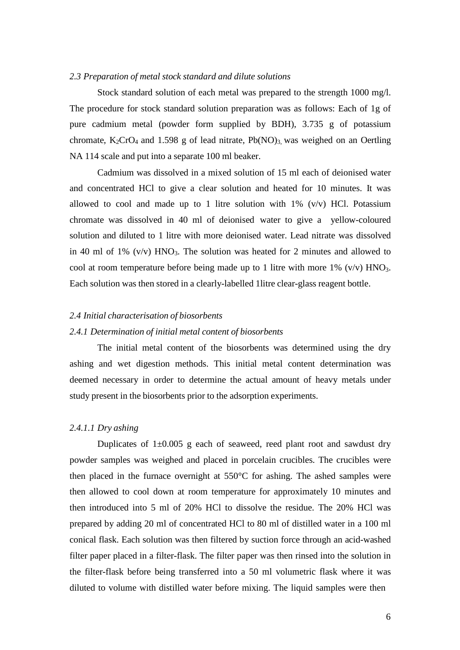#### *2.3 Preparation of metal stock standard and dilute solutions*

Stock standard solution of each metal was prepared to the strength 1000 mg/l. The procedure for stock standard solution preparation was as follows: Each of 1g of pure cadmium metal (powder form supplied by BDH), 3.735 g of potassium chromate,  $K_2CrO_4$  and 1.598 g of lead nitrate,  $Pb(NO)_3$  was weighed on an Oertling NA 114 scale and put into a separate 100 ml beaker.

Cadmium was dissolved in a mixed solution of 15 ml each of deionised water and concentrated HCl to give a clear solution and heated for 10 minutes. It was allowed to cool and made up to 1 litre solution with  $1\%$  (v/v) HCl. Potassium chromate was dissolved in 40 ml of deionised water to give a yellow-coloured solution and diluted to 1 litre with more deionised water. Lead nitrate was dissolved in 40 ml of 1%  $(v/v)$  HNO<sub>3</sub>. The solution was heated for 2 minutes and allowed to cool at room temperature before being made up to 1 litre with more  $1\%$  (v/v) HNO<sub>3</sub>. Each solution was then stored in a clearly-labelled 1litre clear-glass reagent bottle.

#### *2.4 Initial characterisation of biosorbents*

#### *2.4.1 Determination of initial metal content of biosorbents*

The initial metal content of the biosorbents was determined using the dry ashing and wet digestion methods. This initial metal content determination was deemed necessary in order to determine the actual amount of heavy metals under study present in the biosorbents prior to the adsorption experiments.

#### *2.4.1.1 Dry ashing*

Duplicates of  $1\pm0.005$  g each of seaweed, reed plant root and sawdust dry powder samples was weighed and placed in porcelain crucibles. The crucibles were then placed in the furnace overnight at 550°C for ashing. The ashed samples were then allowed to cool down at room temperature for approximately 10 minutes and then introduced into 5 ml of 20% HCl to dissolve the residue. The 20% HCl was prepared by adding 20 ml of concentrated HCl to 80 ml of distilled water in a 100 ml conical flask. Each solution was then filtered by suction force through an acid-washed filter paper placed in a filter-flask. The filter paper was then rinsed into the solution in the filter-flask before being transferred into a 50 ml volumetric flask where it was diluted to volume with distilled water before mixing. The liquid samples were then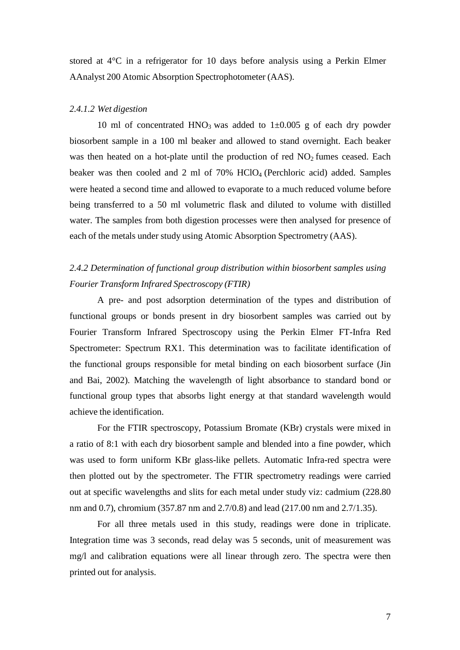stored at 4°C in a refrigerator for 10 days before analysis using a Perkin Elmer AAnalyst 200 Atomic Absorption Spectrophotometer (AAS).

#### *2.4.1.2 Wet digestion*

10 ml of concentrated HNO<sub>3</sub> was added to  $1\pm0.005$  g of each dry powder biosorbent sample in a 100 ml beaker and allowed to stand overnight. Each beaker was then heated on a hot-plate until the production of red  $NO<sub>2</sub>$  fumes ceased. Each beaker was then cooled and 2 ml of 70% HClO4 (Perchloric acid) added. Samples were heated a second time and allowed to evaporate to a much reduced volume before being transferred to a 50 ml volumetric flask and diluted to volume with distilled water. The samples from both digestion processes were then analysed for presence of each of the metals under study using Atomic Absorption Spectrometry (AAS).

## *2.4.2 Determination of functional group distribution within biosorbent samples using Fourier Transform Infrared Spectroscopy (FTIR)*

A pre- and post adsorption determination of the types and distribution of functional groups or bonds present in dry biosorbent samples was carried out by Fourier Transform Infrared Spectroscopy using the Perkin Elmer FT-Infra Red Spectrometer: Spectrum RX1. This determination was to facilitate identification of the functional groups responsible for metal binding on each biosorbent surface (Jin and Bai, 2002). Matching the wavelength of light absorbance to standard bond or functional group types that absorbs light energy at that standard wavelength would achieve the identification.

For the FTIR spectroscopy, Potassium Bromate (KBr) crystals were mixed in a ratio of 8:1 with each dry biosorbent sample and blended into a fine powder, which was used to form uniform KBr glass-like pellets. Automatic Infra-red spectra were then plotted out by the spectrometer. The FTIR spectrometry readings were carried out at specific wavelengths and slits for each metal under study viz: cadmium (228.80 nm and 0.7), chromium (357.87 nm and 2.7/0.8) and lead (217.00 nm and 2.7/1.35).

For all three metals used in this study, readings were done in triplicate. Integration time was 3 seconds, read delay was 5 seconds, unit of measurement was mg/l and calibration equations were all linear through zero. The spectra were then printed out for analysis.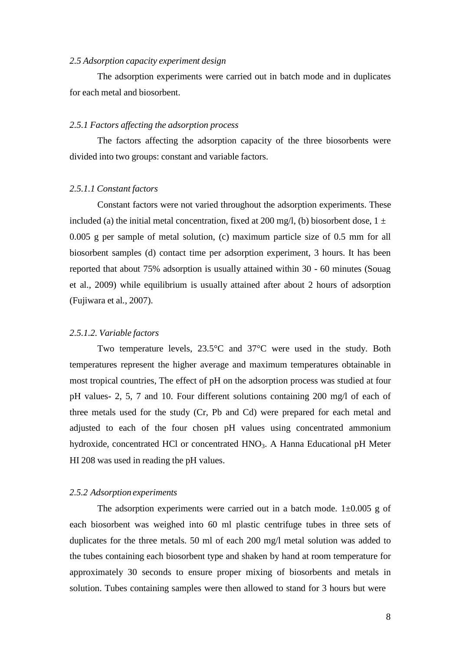#### *2.5 Adsorption capacity experiment design*

The adsorption experiments were carried out in batch mode and in duplicates for each metal and biosorbent.

#### *2.5.1 Factors affecting the adsorption process*

The factors affecting the adsorption capacity of the three biosorbents were divided into two groups: constant and variable factors.

#### *2.5.1.1 Constant factors*

Constant factors were not varied throughout the adsorption experiments. These included (a) the initial metal concentration, fixed at 200 mg/l, (b) biosorbent dose,  $1 \pm$ 0.005 g per sample of metal solution, (c) maximum particle size of 0.5 mm for all biosorbent samples (d) contact time per adsorption experiment, 3 hours. It has been reported that about 75% adsorption is usually attained within 30 - 60 minutes (Souag et al., 2009) while equilibrium is usually attained after about 2 hours of adsorption (Fujiwara et al*.,* 2007).

#### *2.5.1.2. Variable factors*

Two temperature levels, 23.5°C and 37°C were used in the study. Both temperatures represent the higher average and maximum temperatures obtainable in most tropical countries, The effect of pH on the adsorption process was studied at four pH values- 2, 5, 7 and 10. Four different solutions containing 200 mg/l of each of three metals used for the study (Cr, Pb and Cd) were prepared for each metal and adjusted to each of the four chosen pH values using concentrated ammonium hydroxide, concentrated HCl or concentrated HNO<sub>3</sub>. A Hanna Educational pH Meter HI 208 was used in reading the pH values.

#### *2.5.2 Adsorption experiments*

The adsorption experiments were carried out in a batch mode.  $1\pm0.005$  g of each biosorbent was weighed into 60 ml plastic centrifuge tubes in three sets of duplicates for the three metals. 50 ml of each 200 mg/l metal solution was added to the tubes containing each biosorbent type and shaken by hand at room temperature for approximately 30 seconds to ensure proper mixing of biosorbents and metals in solution. Tubes containing samples were then allowed to stand for 3 hours but were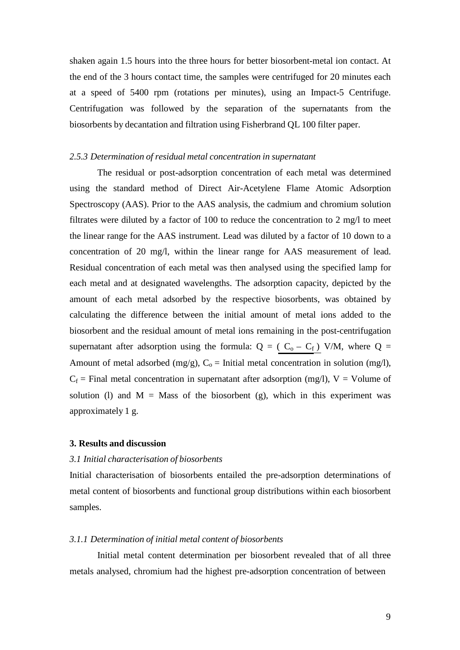shaken again 1.5 hours into the three hours for better biosorbent-metal ion contact. At the end of the 3 hours contact time, the samples were centrifuged for 20 minutes each at a speed of 5400 rpm (rotations per minutes), using an Impact-5 Centrifuge. Centrifugation was followed by the separation of the supernatants from the biosorbents by decantation and filtration using Fisherbrand QL 100 filter paper.

#### *2.5.3 Determination of residual metal concentration in supernatant*

The residual or post-adsorption concentration of each metal was determined using the standard method of Direct Air-Acetylene Flame Atomic Adsorption Spectroscopy (AAS). Prior to the AAS analysis, the cadmium and chromium solution filtrates were diluted by a factor of 100 to reduce the concentration to 2 mg/l to meet the linear range for the AAS instrument. Lead was diluted by a factor of 10 down to a concentration of 20 mg/l, within the linear range for AAS measurement of lead. Residual concentration of each metal was then analysed using the specified lamp for each metal and at designated wavelengths. The adsorption capacity, depicted by the amount of each metal adsorbed by the respective biosorbents, was obtained by calculating the difference between the initial amount of metal ions added to the biosorbent and the residual amount of metal ions remaining in the post-centrifugation supernatant after adsorption using the formula:  $Q = (C_0 - C_f)$  V/M, where  $Q =$ Amount of metal adsorbed (mg/g),  $C_0$  = Initial metal concentration in solution (mg/l),  $C_f$  = Final metal concentration in supernatant after adsorption (mg/l), V = Volume of solution (1) and  $M =$  Mass of the biosorbent (g), which in this experiment was approximately 1 g.

## **3. Results and discussion**

#### *3.1 Initial characterisation of biosorbents*

Initial characterisation of biosorbents entailed the pre-adsorption determinations of metal content of biosorbents and functional group distributions within each biosorbent samples.

#### *3.1.1 Determination of initial metal content of biosorbents*

Initial metal content determination per biosorbent revealed that of all three metals analysed, chromium had the highest pre-adsorption concentration of between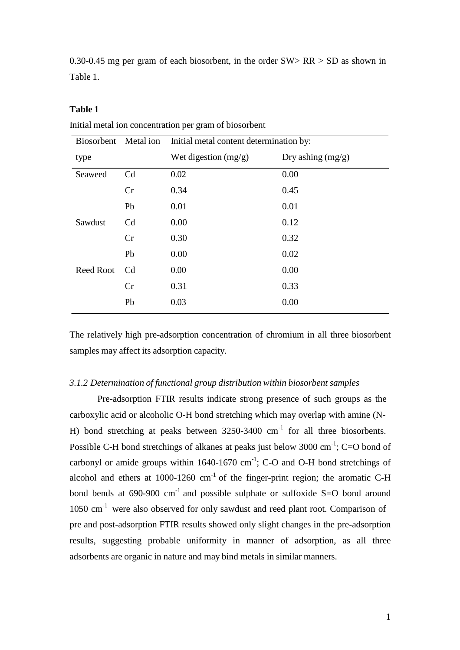0.30-0.45 mg per gram of each biosorbent, in the order SW> RR > SD as shown in Table 1.

## **Table 1**

| Biosorbent       | Metal ion      | Initial metal content determination by: |                     |  |
|------------------|----------------|-----------------------------------------|---------------------|--|
| type             |                | Wet digestion $(mg/g)$                  | Dry ashing $(mg/g)$ |  |
| Seaweed          | C <sub>d</sub> | 0.02                                    | 0.00                |  |
|                  | Cr             | 0.34                                    | 0.45                |  |
|                  | Pb             | 0.01                                    | 0.01                |  |
| Sawdust          | C <sub>d</sub> | 0.00                                    | 0.12                |  |
|                  | Cr             | 0.30                                    | 0.32                |  |
|                  | Pb             | 0.00                                    | 0.02                |  |
| <b>Reed Root</b> | C <sub>d</sub> | 0.00                                    | 0.00                |  |
|                  | Cr             | 0.31                                    | 0.33                |  |
|                  | Pb             | 0.03                                    | 0.00                |  |

Initial metal ion concentration per gram of biosorbent

The relatively high pre-adsorption concentration of chromium in all three biosorbent samples may affect its adsorption capacity.

#### *3.1.2 Determination of functional group distribution within biosorbent samples*

Pre-adsorption FTIR results indicate strong presence of such groups as the carboxylic acid or alcoholic O-H bond stretching which may overlap with amine (N-H) bond stretching at peaks between  $3250-3400$  cm<sup>-1</sup> for all three biosorbents. Possible C-H bond stretchings of alkanes at peaks just below 3000 cm<sup>-1</sup>; C=O bond of carbonyl or amide groups within  $1640-1670$  cm<sup>-1</sup>; C-O and O-H bond stretchings of alcohol and ethers at  $1000-1260$  cm<sup>-1</sup> of the finger-print region; the aromatic C-H bond bends at  $690-900$  cm<sup>-1</sup> and possible sulphate or sulfoxide S=O bond around 1050 cm<sup>-1</sup> were also observed for only sawdust and reed plant root. Comparison of pre and post-adsorption FTIR results showed only slight changes in the pre-adsorption results, suggesting probable uniformity in manner of adsorption, as all three adsorbents are organic in nature and may bind metals in similar manners.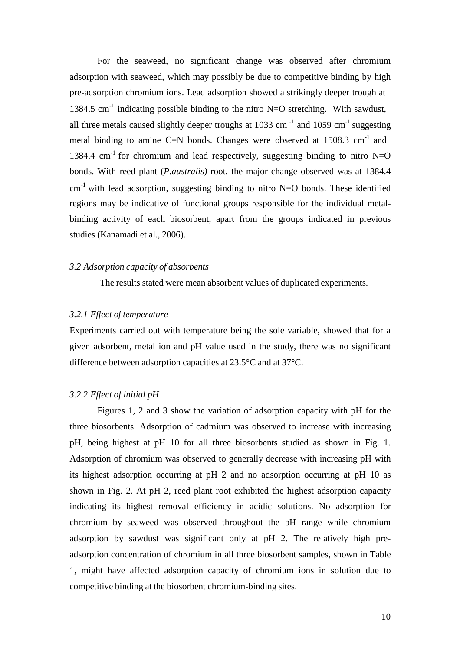For the seaweed, no significant change was observed after chromium adsorption with seaweed, which may possibly be due to competitive binding by high pre-adsorption chromium ions. Lead adsorption showed a strikingly deeper trough at 1384.5 cm<sup>-1</sup> indicating possible binding to the nitro N=O stretching. With sawdust, all three metals caused slightly deeper troughs at 1033 cm<sup> $-1$ </sup> and 1059 cm<sup> $-1$ </sup> suggesting metal binding to amine C=N bonds. Changes were observed at  $1508.3 \text{ cm}^{-1}$  and 1384.4 cm<sup>-1</sup> for chromium and lead respectively, suggesting binding to nitro N=O bonds. With reed plant (*P.australis)* root, the major change observed was at 1384.4  $cm^{-1}$  with lead adsorption, suggesting binding to nitro N=O bonds. These identified regions may be indicative of functional groups responsible for the individual metalbinding activity of each biosorbent, apart from the groups indicated in previous studies (Kanamadi et al., 2006).

#### *3.2 Adsorption capacity of absorbents*

The results stated were mean absorbent values of duplicated experiments.

## *3.2.1 Effect of temperature*

Experiments carried out with temperature being the sole variable, showed that for a given adsorbent, metal ion and pH value used in the study, there was no significant difference between adsorption capacities at 23.5°C and at 37°C.

### *3.2.2 Effect of initial pH*

Figures 1, 2 and 3 show the variation of adsorption capacity with pH for the three biosorbents. Adsorption of cadmium was observed to increase with increasing pH, being highest at pH 10 for all three biosorbents studied as shown in Fig. 1. Adsorption of chromium was observed to generally decrease with increasing pH with its highest adsorption occurring at pH 2 and no adsorption occurring at pH 10 as shown in Fig. 2. At pH 2, reed plant root exhibited the highest adsorption capacity indicating its highest removal efficiency in acidic solutions. No adsorption for chromium by seaweed was observed throughout the pH range while chromium adsorption by sawdust was significant only at pH 2. The relatively high preadsorption concentration of chromium in all three biosorbent samples, shown in Table 1, might have affected adsorption capacity of chromium ions in solution due to competitive binding at the biosorbent chromium-binding sites.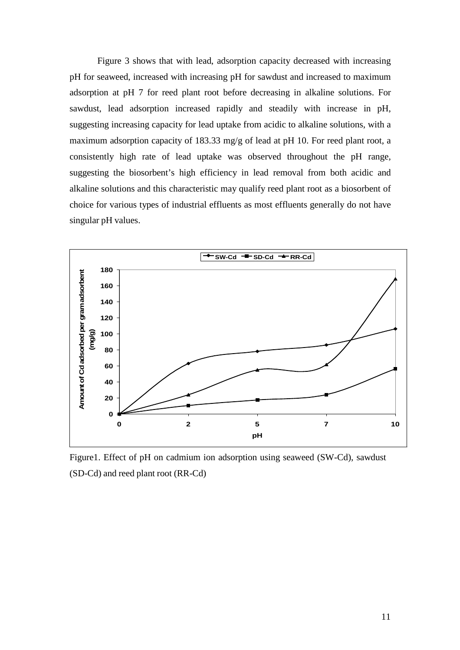Figure 3 shows that with lead, adsorption capacity decreased with increasing pH for seaweed, increased with increasing pH for sawdust and increased to maximum adsorption at pH 7 for reed plant root before decreasing in alkaline solutions. For sawdust, lead adsorption increased rapidly and steadily with increase in pH, suggesting increasing capacity for lead uptake from acidic to alkaline solutions, with a maximum adsorption capacity of 183.33 mg/g of lead at pH 10. For reed plant root, a consistently high rate of lead uptake was observed throughout the pH range, suggesting the biosorbent's high efficiency in lead removal from both acidic and alkaline solutions and this characteristic may qualify reed plant root as a biosorbent of choice for various types of industrial effluents as most effluents generally do not have singular pH values.



Figure1. Effect of pH on cadmium ion adsorption using seaweed (SW-Cd), sawdust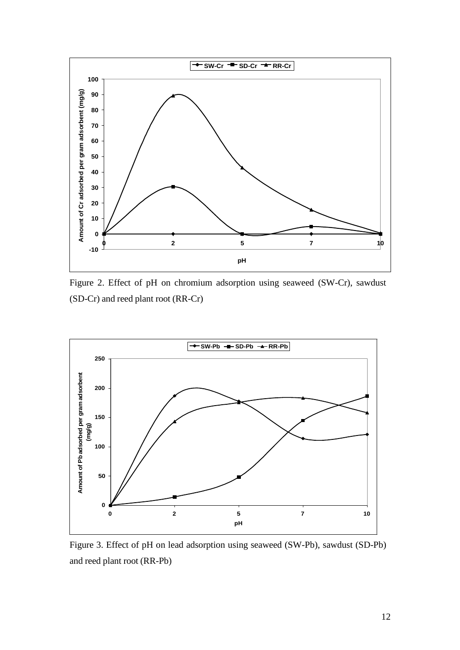

Figure 2. Effect of pH on chromium adsorption using seaweed (SW-Cr), sawdust (SD-Cr) and reed plant root (RR-Cr)



Figure 3. Effect of pH on lead adsorption using seaweed (SW-Pb), sawdust (SD-Pb) and reed plant root (RR-Pb)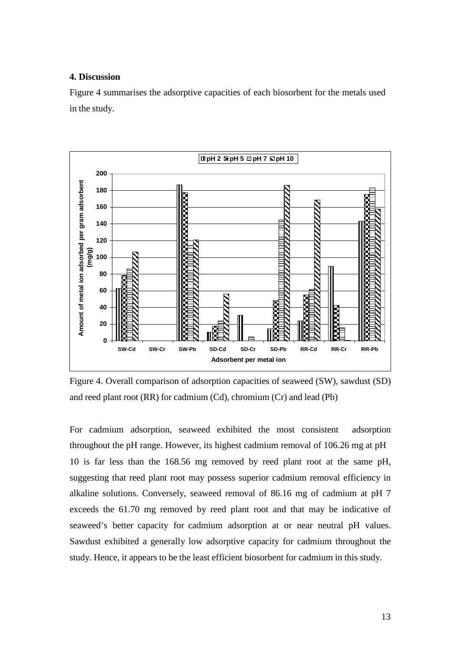### **4. Discussion**

Figure 4 summarises the adsorptive capacities of each biosorbent for the metals used in the study.



Figure 4. Overall comparison of adsorption capacities of seaweed (SW), sawdust (SD) and reed plant root (RR) for cadmium (Cd), chromium (Cr) and lead (Pb)

For cadmium adsorption, seaweed exhibited the most consistent adsorption throughout the pH range. However, its highest cadmium removal of 106.26 mg at pH 10 is far less than the 168.56 mg removed by reed plant root at the same pH, suggesting that reed plant root may possess superior cadmium removal efficiency in alkaline solutions. Conversely, seaweed removal of 86.16 mg of cadmium at pH 7 exceeds the 61.70 mg removed by reed plant root and that may be indicative of seaweed's better capacity for cadmium adsorption at or near neutral pH values. Sawdust exhibited a generally low adsorptive capacity for cadmium throughout the study. Hence, it appears to be the least efficient biosorbent for cadmium in this study.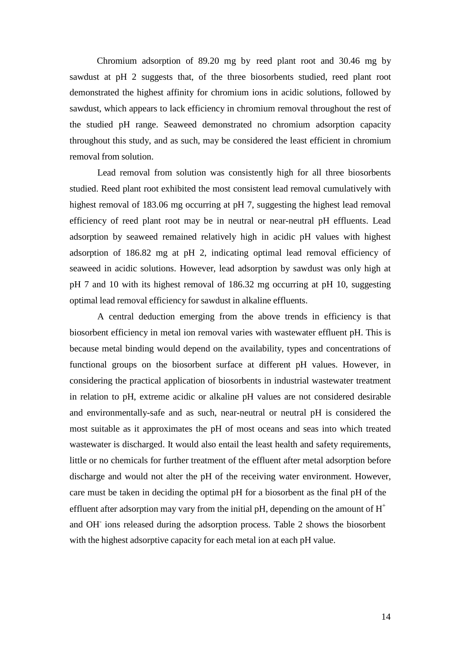Chromium adsorption of 89.20 mg by reed plant root and 30.46 mg by sawdust at pH 2 suggests that, of the three biosorbents studied, reed plant root demonstrated the highest affinity for chromium ions in acidic solutions, followed by sawdust, which appears to lack efficiency in chromium removal throughout the rest of the studied pH range. Seaweed demonstrated no chromium adsorption capacity throughout this study, and as such, may be considered the least efficient in chromium removal from solution.

Lead removal from solution was consistently high for all three biosorbents studied. Reed plant root exhibited the most consistent lead removal cumulatively with highest removal of 183.06 mg occurring at pH 7, suggesting the highest lead removal efficiency of reed plant root may be in neutral or near-neutral pH effluents. Lead adsorption by seaweed remained relatively high in acidic pH values with highest adsorption of 186.82 mg at pH 2, indicating optimal lead removal efficiency of seaweed in acidic solutions. However, lead adsorption by sawdust was only high at pH 7 and 10 with its highest removal of 186.32 mg occurring at pH 10, suggesting optimal lead removal efficiency for sawdust in alkaline effluents.

A central deduction emerging from the above trends in efficiency is that biosorbent efficiency in metal ion removal varies with wastewater effluent pH. This is because metal binding would depend on the availability, types and concentrations of functional groups on the biosorbent surface at different pH values. However, in considering the practical application of biosorbents in industrial wastewater treatment in relation to pH, extreme acidic or alkaline pH values are not considered desirable and environmentally-safe and as such, near-neutral or neutral pH is considered the most suitable as it approximates the pH of most oceans and seas into which treated wastewater is discharged. It would also entail the least health and safety requirements, little or no chemicals for further treatment of the effluent after metal adsorption before discharge and would not alter the pH of the receiving water environment. However, care must be taken in deciding the optimal pH for a biosorbent as the final pH of the effluent after adsorption may vary from the initial pH, depending on the amount of  $H^+$ and OH- ions released during the adsorption process. Table 2 shows the biosorbent with the highest adsorptive capacity for each metal ion at each pH value.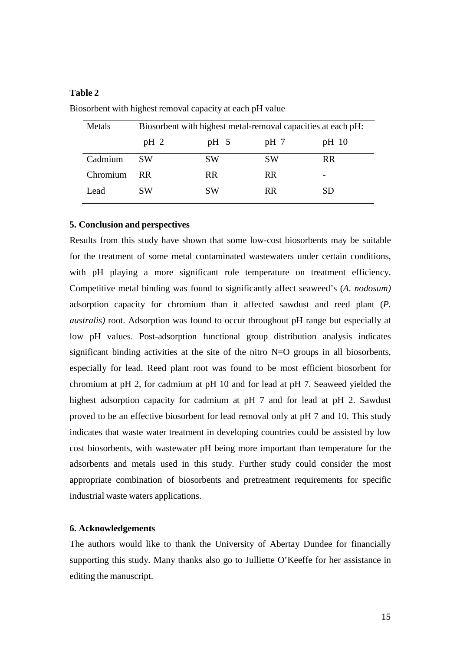## **Table 2**

| Metals   | Biosorbent with highest metal-removal capacities at each pH: |           |           |           |  |
|----------|--------------------------------------------------------------|-----------|-----------|-----------|--|
|          | $pH_2$                                                       | $pH \t5$  | $pH$ 7    | pH 10     |  |
| Cadmium  | SW                                                           | SW        | <b>SW</b> | <b>RR</b> |  |
| Chromium | RR.                                                          | RR.       | <b>RR</b> |           |  |
| Lead     | SW                                                           | <b>SW</b> | <b>RR</b> | SD.       |  |

Biosorbent with highest removal capacity at each pH value

#### **5. Conclusion and perspectives**

Results from this study have shown that some low-cost biosorbents may be suitable for the treatment of some metal contaminated wastewaters under certain conditions, with pH playing a more significant role temperature on treatment efficiency. Competitive metal binding was found to significantly affect seaweed's (*A. nodosum)* adsorption capacity for chromium than it affected sawdust and reed plant (*P. australis)* root. Adsorption was found to occur throughout pH range but especially at low pH values. Post-adsorption functional group distribution analysis indicates significant binding activities at the site of the nitro  $N=O$  groups in all biosorbents, especially for lead. Reed plant root was found to be most efficient biosorbent for chromium at pH 2, for cadmium at pH 10 and for lead at pH 7. Seaweed yielded the highest adsorption capacity for cadmium at pH 7 and for lead at pH 2. Sawdust proved to be an effective biosorbent for lead removal only at pH 7 and 10. This study indicates that waste water treatment in developing countries could be assisted by low cost biosorbents, with wastewater pH being more important than temperature for the adsorbents and metals used in this study. Further study could consider the most appropriate combination of biosorbents and pretreatment requirements for specific industrial waste waters applications.

## **6. Acknowledgements**

The authors would like to thank the University of Abertay Dundee for financially supporting this study. Many thanks also go to Julliette O'Keeffe for her assistance in editing the manuscript.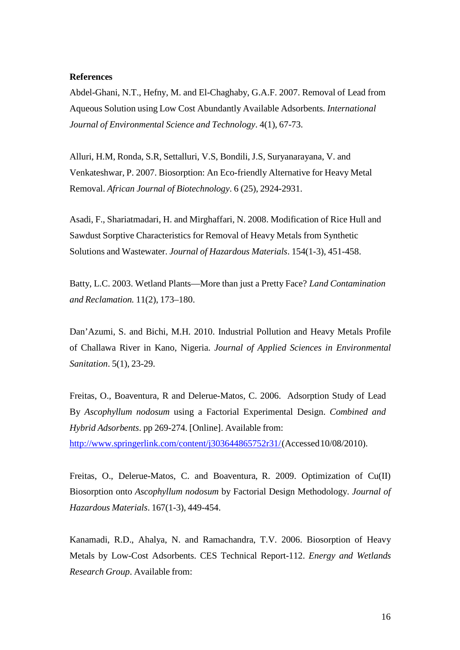#### **References**

Abdel-Ghani, N.T., Hefny, M. and El-Chaghaby, G.A.F. 2007. Removal of Lead from Aqueous Solution using Low Cost Abundantly Available Adsorbents. *International Journal of Environmental Science and Technology*. 4(1), 67-73.

Alluri, H.M, Ronda, S.R, Settalluri, V.S, Bondili, J.S, Suryanarayana, V. and Venkateshwar, P. 2007. Biosorption: An Eco-friendly Alternative for Heavy Metal Removal. *African Journal of Biotechnology*. 6 (25), 2924-2931.

Asadi, F., Shariatmadari, H. and Mirghaffari, N. 2008. Modification of Rice Hull and Sawdust Sorptive Characteristics for Removal of Heavy Metals from Synthetic Solutions and Wastewater. *Journal of Hazardous Materials*. 154(1-3), 451-458.

Batty, L.C. 2003. Wetland Plants—More than just a Pretty Face? *Land Contamination and Reclamation.* 11(2), 173–180.

Dan'Azumi, S. and Bichi, M.H. 2010. Industrial Pollution and Heavy Metals Profile of Challawa River in Kano, Nigeria. *Journal of Applied Sciences in Environmental Sanitation*. 5(1), 23-29.

Freitas, O., Boaventura, R and Delerue-Matos, C. 2006. Adsorption Study of Lead By *Ascophyllum nodosum* using a Factorial Experimental Design. *Combined and Hybrid Adsorbents*. pp 269-274. [Online]. Available from: http://www.springerlink.com/content/j303644865752r31/ (Accessed 10/08/2010).

Freitas, O., Delerue-Matos, C. and Boaventura, R. 2009. Optimization of Cu(II) Biosorption onto *Ascophyllum nodosum* by Factorial Design Methodology. *Journal of Hazardous Materials*. 167(1-3), 449-454.

Kanamadi, R.D., Ahalya, N. and Ramachandra, T.V. 2006. Biosorption of Heavy Metals by Low-Cost Adsorbents. CES Technical Report-112. *Energy and Wetlands Research Group*. Available from: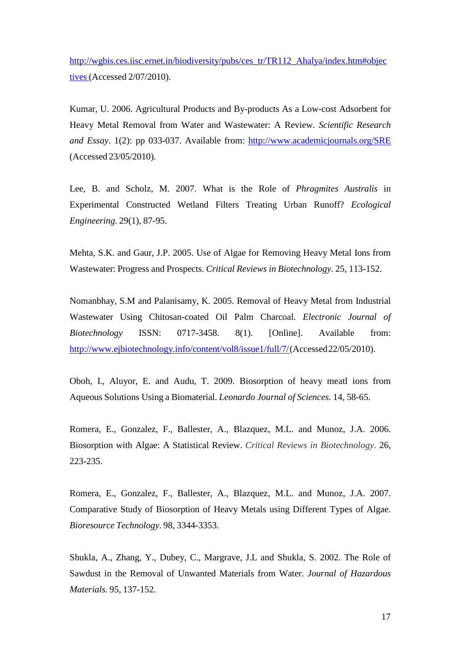http://wgbis.ces.iisc.ernet.in/biodiversity/pubs/ces\_tr/TR112\_Ahalya/index.htm#objec tives (Accessed 2/07/2010).

Kumar, U. 2006. Agricultural Products and By-products As a Low-cost Adsorbent for Heavy Metal Removal from Water and Wastewater: A Review. *Scientific Research and Essay*. 1(2): pp 033-037. Available from: http://www.academicjournals.org/SRE (Accessed 23/05/2010).

Lee, B. and Scholz, M. 2007. What is the Role of *Phragmites Australis* in Experimental Constructed Wetland Filters Treating Urban Runoff? *Ecological Engineering*. 29(1), 87-95.

Mehta, S.K. and Gaur, J.P. 2005. Use of Algae for Removing Heavy Metal Ions from Wastewater: Progress and Prospects. *Critical Reviews in Biotechnology*. 25, 113-152.

Nomanbhay, S.M and Palanisamy, K. 2005. Removal of Heavy Metal from Industrial Wastewater Using Chitosan-coated Oil Palm Charcoal. *Electronic Journal of Biotechnology* ISSN: 0717-3458. 8(1). [Online]. Available from: http://www.ejbiotechnology.info/content/vol8/issue1/full/7/ (Accessed 22/05/2010).

Oboh, I., Aluyor, E. and Audu, T. 2009. Biosorption of heavy meatl ions from Aqueous Solutions Using a Biomaterial. *Leonardo Journal of Sciences*. 14, 58-65.

Romera, E., Gonzalez, F., Ballester, A., Blazquez, M.L. and Munoz, J.A. 2006. Biosorption with Algae: A Statistical Review. *Critical Reviews in Biotechnology*. 26, 223-235.

Romera, E., Gonzalez, F., Ballester, A., Blazquez, M.L. and Munoz, J.A. 2007. Comparative Study of Biosorption of Heavy Metals using Different Types of Algae. *Bioresource Technology*. 98, 3344-3353.

Shukla, A., Zhang, Y., Dubey, C., Margrave, J.L and Shukla, S. 2002. The Role of Sawdust in the Removal of Unwanted Materials from Water. *Journal of Hazardous Materials.* 95, 137-152.